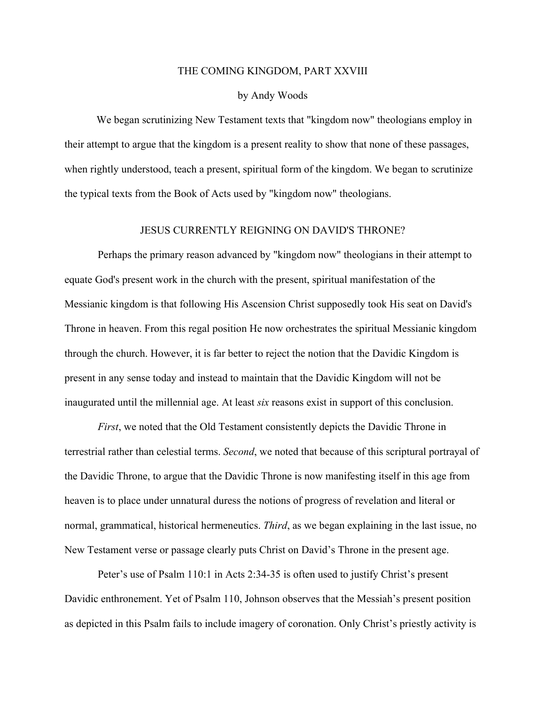## THE COMING KINGDOM, PART XXVIII

## by Andy Woods

We began scrutinizing New Testament texts that "kingdom now" theologians employ in their attempt to argue that the kingdom is a present reality to show that none of these passages, when rightly understood, teach a present, spiritual form of the kingdom. We began to scrutinize the typical texts from the Book of Acts used by "kingdom now" theologians.

## JESUS CURRENTLY REIGNING ON DAVID'S THRONE?

Perhaps the primary reason advanced by "kingdom now" theologians in their attempt to equate God's present work in the church with the present, spiritual manifestation of the Messianic kingdom is that following His Ascension Christ supposedly took His seat on David's Throne in heaven. From this regal position He now orchestrates the spiritual Messianic kingdom through the church. However, it is far better to reject the notion that the Davidic Kingdom is present in any sense today and instead to maintain that the Davidic Kingdom will not be inaugurated until the millennial age. At least *six* reasons exist in support of this conclusion.

*First*, we noted that the Old Testament consistently depicts the Davidic Throne in terrestrial rather than celestial terms. *Second*, we noted that because of this scriptural portrayal of the Davidic Throne, to argue that the Davidic Throne is now manifesting itself in this age from heaven is to place under unnatural duress the notions of progress of revelation and literal or normal, grammatical, historical hermeneutics. *Third*, as we began explaining in the last issue, no New Testament verse or passage clearly puts Christ on David's Throne in the present age.

Peter's use of Psalm 110:1 in Acts 2:34-35 is often used to justify Christ's present Davidic enthronement. Yet of Psalm 110, Johnson observes that the Messiah's present position as depicted in this Psalm fails to include imagery of coronation. Only Christ's priestly activity is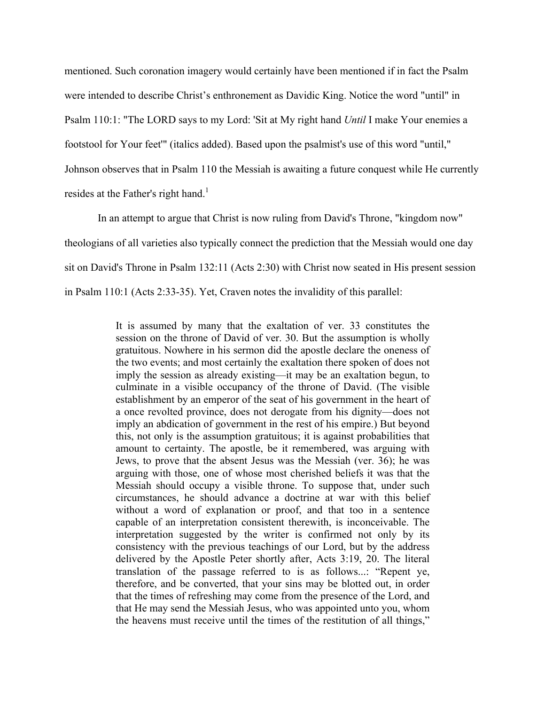mentioned. Such coronation imagery would certainly have been mentioned if in fact the Psalm were intended to describe Christ's enthronement as Davidic King. Notice the word "until" in Psalm 110:1: "The LORD says to my Lord: 'Sit at My right hand *Until* I make Your enemies a footstool for Your feet'" (italics added). Based upon the psalmist's use of this word "until," Johnson observes that in Psalm 110 the Messiah is awaiting a future conquest while He currently resides at the Father's right hand.<sup>1</sup>

In an attempt to argue that Christ is now ruling from David's Throne, "kingdom now" theologians of all varieties also typically connect the prediction that the Messiah would one day sit on David's Throne in Psalm 132:11 (Acts 2:30) with Christ now seated in His present session in Psalm 110:1 (Acts 2:33-35). Yet, Craven notes the invalidity of this parallel:

> It is assumed by many that the exaltation of ver. 33 constitutes the session on the throne of David of ver. 30. But the assumption is wholly gratuitous. Nowhere in his sermon did the apostle declare the oneness of the two events; and most certainly the exaltation there spoken of does not imply the session as already existing—it may be an exaltation begun, to culminate in a visible occupancy of the throne of David. (The visible establishment by an emperor of the seat of his government in the heart of a once revolted province, does not derogate from his dignity—does not imply an abdication of government in the rest of his empire.) But beyond this, not only is the assumption gratuitous; it is against probabilities that amount to certainty. The apostle, be it remembered, was arguing with Jews, to prove that the absent Jesus was the Messiah (ver. 36); he was arguing with those, one of whose most cherished beliefs it was that the Messiah should occupy a visible throne. To suppose that, under such circumstances, he should advance a doctrine at war with this belief without a word of explanation or proof, and that too in a sentence capable of an interpretation consistent therewith, is inconceivable. The interpretation suggested by the writer is confirmed not only by its consistency with the previous teachings of our Lord, but by the address delivered by the Apostle Peter shortly after, Acts 3:19, 20. The literal translation of the passage referred to is as follows...: "Repent ye, therefore, and be converted, that your sins may be blotted out, in order that the times of refreshing may come from the presence of the Lord, and that He may send the Messiah Jesus, who was appointed unto you, whom the heavens must receive until the times of the restitution of all things,"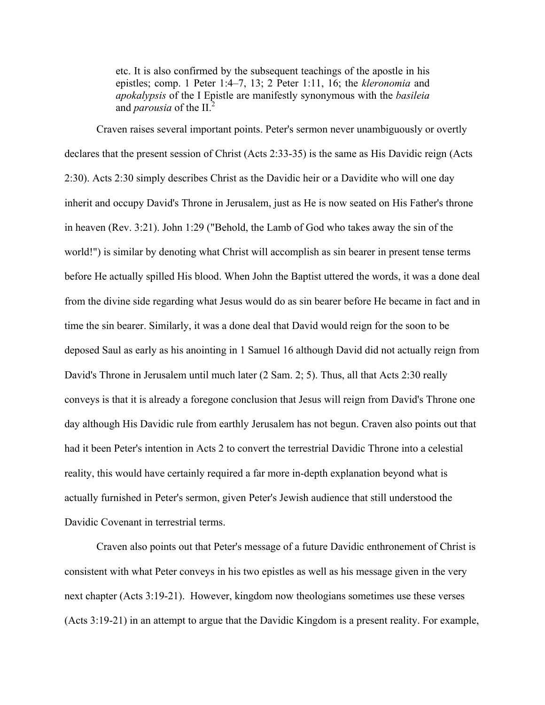etc. It is also confirmed by the subsequent teachings of the apostle in his epistles; comp. 1 Peter 1:4–7, 13; 2 Peter 1:11, 16; the *kleronomia* and *apokalypsis* of the I Epistle are manifestly synonymous with the *basileia* and *parousia* of the II.<sup>2</sup>

Craven raises several important points. Peter's sermon never unambiguously or overtly declares that the present session of Christ (Acts 2:33-35) is the same as His Davidic reign (Acts 2:30). Acts 2:30 simply describes Christ as the Davidic heir or a Davidite who will one day inherit and occupy David's Throne in Jerusalem, just as He is now seated on His Father's throne in heaven (Rev. 3:21). John 1:29 ("Behold, the Lamb of God who takes away the sin of the world!") is similar by denoting what Christ will accomplish as sin bearer in present tense terms before He actually spilled His blood. When John the Baptist uttered the words, it was a done deal from the divine side regarding what Jesus would do as sin bearer before He became in fact and in time the sin bearer. Similarly, it was a done deal that David would reign for the soon to be deposed Saul as early as his anointing in 1 Samuel 16 although David did not actually reign from David's Throne in Jerusalem until much later (2 Sam. 2; 5). Thus, all that Acts 2:30 really conveys is that it is already a foregone conclusion that Jesus will reign from David's Throne one day although His Davidic rule from earthly Jerusalem has not begun. Craven also points out that had it been Peter's intention in Acts 2 to convert the terrestrial Davidic Throne into a celestial reality, this would have certainly required a far more in-depth explanation beyond what is actually furnished in Peter's sermon, given Peter's Jewish audience that still understood the Davidic Covenant in terrestrial terms.

Craven also points out that Peter's message of a future Davidic enthronement of Christ is consistent with what Peter conveys in his two epistles as well as his message given in the very next chapter (Acts 3:19-21). However, kingdom now theologians sometimes use these verses (Acts 3:19-21) in an attempt to argue that the Davidic Kingdom is a present reality. For example,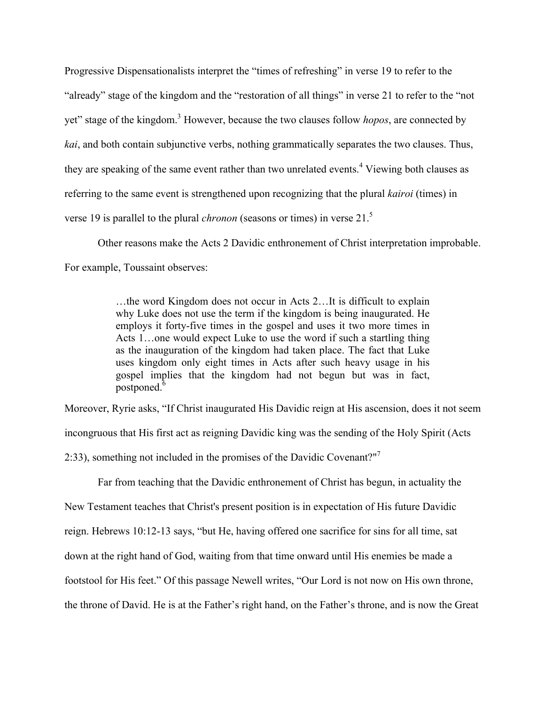Progressive Dispensationalists interpret the "times of refreshing" in verse 19 to refer to the "already" stage of the kingdom and the "restoration of all things" in verse 21 to refer to the "not yet" stage of the kingdom.3 However, because the two clauses follow *hopos*, are connected by *kai*, and both contain subjunctive verbs, nothing grammatically separates the two clauses. Thus, they are speaking of the same event rather than two unrelated events.<sup>4</sup> Viewing both clauses as referring to the same event is strengthened upon recognizing that the plural *kairoi* (times) in verse 19 is parallel to the plural *chronon* (seasons or times) in verse 21.5

Other reasons make the Acts 2 Davidic enthronement of Christ interpretation improbable. For example, Toussaint observes:

> …the word Kingdom does not occur in Acts 2…It is difficult to explain why Luke does not use the term if the kingdom is being inaugurated. He employs it forty-five times in the gospel and uses it two more times in Acts 1…one would expect Luke to use the word if such a startling thing as the inauguration of the kingdom had taken place. The fact that Luke uses kingdom only eight times in Acts after such heavy usage in his gospel implies that the kingdom had not begun but was in fact,  $_{\rm postponed.}$ <sup>6</sup>

Moreover, Ryrie asks, "If Christ inaugurated His Davidic reign at His ascension, does it not seem incongruous that His first act as reigning Davidic king was the sending of the Holy Spirit (Acts 2:33), something not included in the promises of the Davidic Covenant?"<sup>7</sup>

Far from teaching that the Davidic enthronement of Christ has begun, in actuality the

New Testament teaches that Christ's present position is in expectation of His future Davidic

reign. Hebrews 10:12-13 says, "but He, having offered one sacrifice for sins for all time, sat

down at the right hand of God, waiting from that time onward until His enemies be made a

footstool for His feet." Of this passage Newell writes, "Our Lord is not now on His own throne,

the throne of David. He is at the Father's right hand, on the Father's throne, and is now the Great